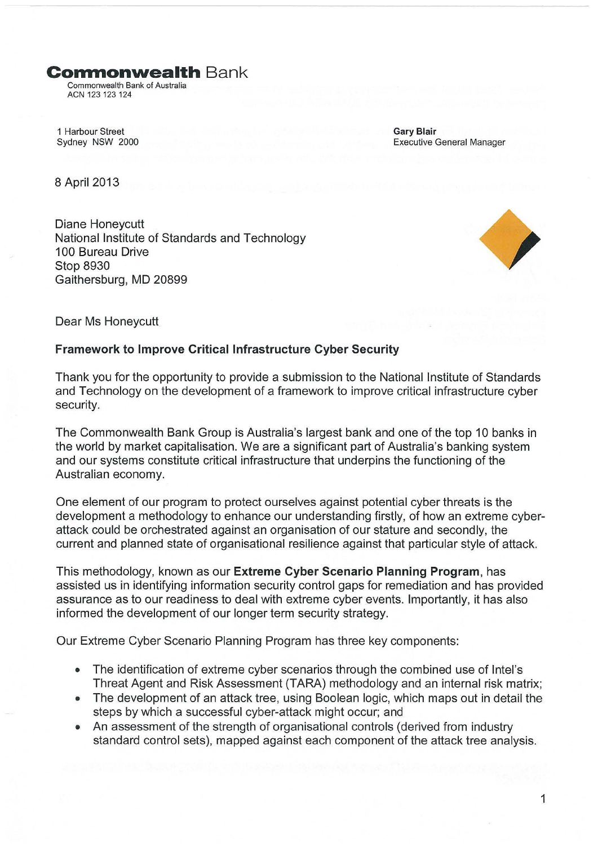**Conmonwealth Bank** 

Commonwealth Bank of Australia ACN 123 123 124

1 Harbour Street Sydney NSW 2000 Gary Blair Executive General Manager

8 April 2013

Diane Honeycutt National Institute of Standards and Technology 100 Bureau Drive Stop 8930 Gaithersburg, MD 20899



Dear Ms Honeycutt

## **Framework to Improve Critical Infrastructure Cyber Security**

Thank you for the opportunity to provide a submission to the National Institute of Standards and Technology on the development of a framework to improve critical infrastructure cyber security.

The Commonwealth Bank Group is Australia's largest bank and one of the top 10 banks in the world by market capitalisation. We are a significant part of Australia's banking system and our systems constitute critical infrastructure that underpins the functioning of the Australian economy.

One element of our program to protect ourselves against potential cyber threats is the development a methodology to enhance our understanding firstly, of how an extreme cyberattack could be orchestrated against an organisation of our stature and secondly, the current and planned state of organisational resilience against that particular style of attack.

This methodology, known as our **Extreme Cyber Scenario Planning Program,** has assisted us in identifying information security control gaps for remediation and has provided assurance as to our readiness to deal with extreme cyber events. Importantly, it has also informed the development of our longer term security strategy.

Our Extreme Cyber Scenario Planning Program has three key components:

- The identification of extreme cyber scenarios through the combined use of Intel's Threat Agent and Risk Assessment (TARA) methodology and an internal risk matrix;
- The development of an attack tree, using Boolean logic, which maps out in detail the steps by which a successful cyber-attack might occur; and
- An assessment of the strength of organisational controls (derived from industry standard control sets), mapped against each component of the attack tree analysis.